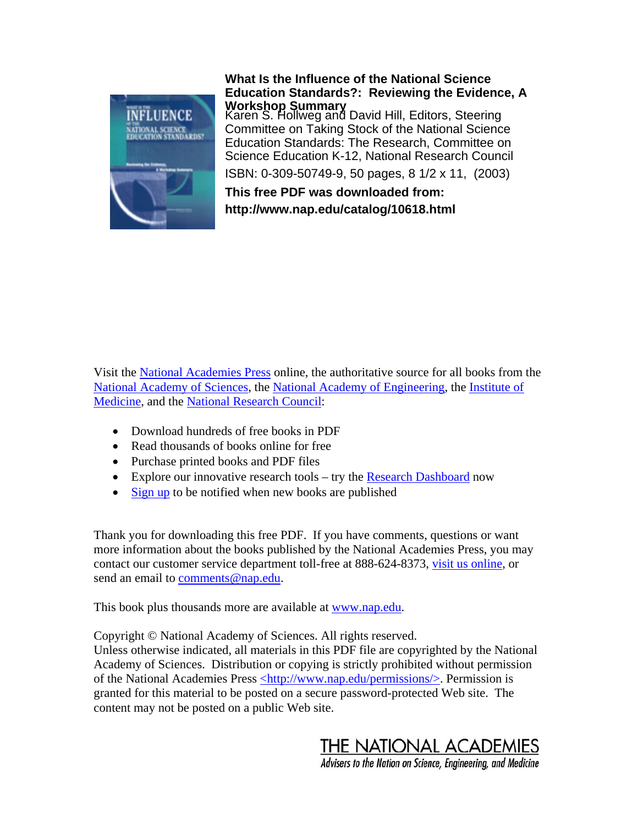

## **What Is the Influence of the National Science Education Standards?: Reviewing the Evidence, A Workshop Summary**

Karen S. Hollweg and David Hill, Editors, Steering Committee on Taking Stock of the National Science Education Standards: The Research, Committee on Science Education K-12, National Research Council

ISBN: 0-309-50749-9, 50 pages, 8 1/2 x 11, (2003)

**This free PDF was downloaded from: http://www.nap.edu/catalog/10618.html**

Visit the [National Academies Press](http://www.nap.edu/) online, the authoritative source for all books from the [National Academy of Sciences,](http://www.nasonline.org/site/PageServer) the [National Academy of Engineering,](http://www.nae.edu/nae/naehome.nsf) the [Institute of](http://www.iom.edu/)  [Medicine,](http://www.iom.edu/) and the [National Research Council:](http://www.nationalacademies.org/nrc/)

- Download hundreds of free books in PDF
- Read thousands of books online for free
- Purchase printed books and PDF files
- Explore our innovative research tools try the Research Dashboard now
- [Sign up](http://www.nap.edu/agent.html) to be notified when new books are published

Thank you for downloading this free PDF. If you have comments, questions or want more information about the books published by the National Academies Press, you may contact our customer service department toll-free at 888-624-8373, [visit us online,](http://www.nap.edu) or send an email to comments@nap.edu.

This book plus thousands more are available at [www.nap.edu.](http://www.nap.edu)

Copyright © National Academy of Sciences. All rights reserved. Unless otherwise indicated, all materials in this PDF file are copyrighted by the National Academy of Sciences. Distribution or copying is strictly prohibited without permission of the National Academies Press [<http://www.nap.edu/permissions/](http://www.nap.edu/permissions/)>. Permission is granted for this material to be posted on a secure password-protected Web site. The content may not be posted on a public Web site.

THE NATIONAL ACADEMIES

Advisers to the Nation on Science, Engineering, and Medicine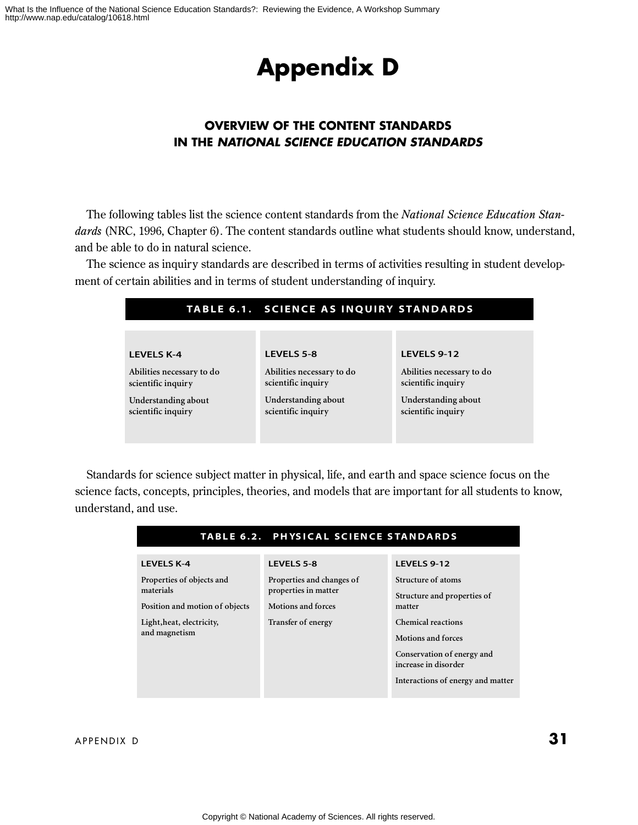# **Appendix D**

## **OVERVIEW OF THE CONTENT STANDARDS IN THE NATIONAL SCIENCE EDUCATION STANDARDS**

The following tables list the science content standards from the *National Science Education Standards* (NRC, 1996, Chapter 6). The content standards outline what students should know, understand, and be able to do in natural science.

The science as inquiry standards are described in terms of activities resulting in student development of certain abilities and in terms of student understanding of inquiry.

|                                                 | TABLE 6.1. SCIENCE AS INQUIRY STANDARDS         |                                                 |
|-------------------------------------------------|-------------------------------------------------|-------------------------------------------------|
|                                                 |                                                 |                                                 |
| <b>LEVELS K-4</b>                               | <b>LEVELS 5-8</b>                               | LEVELS 9-12                                     |
| Abilities necessary to do<br>scientific inquiry | Abilities necessary to do<br>scientific inquiry | Abilities necessary to do<br>scientific inquiry |
| Understanding about<br>scientific inquiry       | Understanding about<br>scientific inquiry       | Understanding about<br>scientific inquiry       |

Standards for science subject matter in physical, life, and earth and space science focus on the science facts, concepts, principles, theories, and models that are important for all students to know, understand, and use.

| TABLE 6.2. PHYSICAL SCIENCE STANDARDS                                        |                                                                        |                                                                                                                 |
|------------------------------------------------------------------------------|------------------------------------------------------------------------|-----------------------------------------------------------------------------------------------------------------|
| <b>LEVELS K-4</b><br>Properties of objects and<br>materials                  | <b>LEVELS 5-8</b><br>Properties and changes of<br>properties in matter | LEVELS 9-12<br>Structure of atoms<br>Structure and properties of                                                |
| Position and motion of objects<br>Light, heat, electricity,<br>and magnetism | Motions and forces<br>Transfer of energy                               | matter<br><b>Chemical reactions</b><br>Motions and forces<br>Conservation of energy and<br>increase in disorder |
|                                                                              |                                                                        | Interactions of energy and matter                                                                               |

APPENDIX D **31**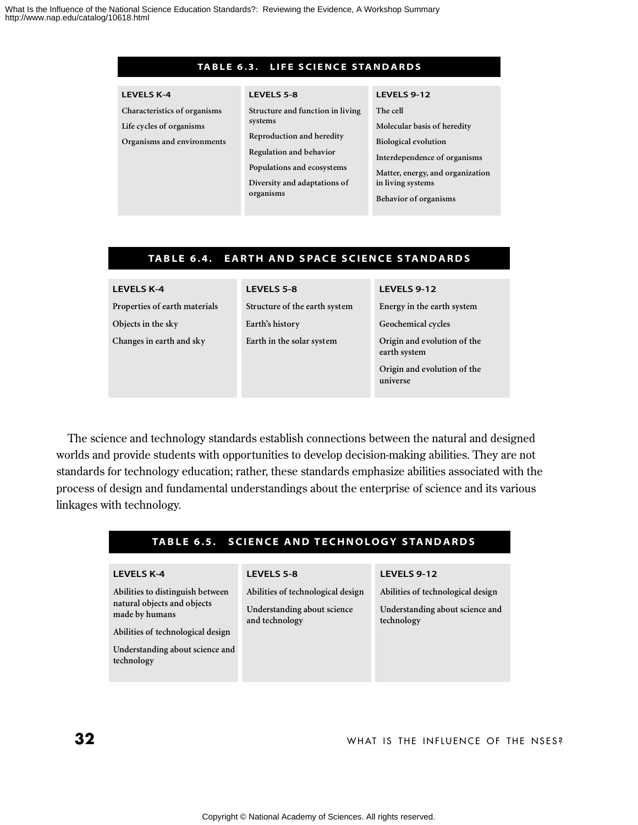#### TABLE 6.3. LIFE SCIENCE STANDARDS

| <b>LEVELS K-4</b>                                                                      | LEVELS 5-8                                                                                                                                                                     | LEVELS 9-12                                                                                                                                                                                     |
|----------------------------------------------------------------------------------------|--------------------------------------------------------------------------------------------------------------------------------------------------------------------------------|-------------------------------------------------------------------------------------------------------------------------------------------------------------------------------------------------|
| Characteristics of organisms<br>Life cycles of organisms<br>Organisms and environments | Structure and function in living<br>systems<br>Reproduction and heredity<br>Regulation and behavior<br>Populations and ecosystems<br>Diversity and adaptations of<br>organisms | The cell<br>Molecular basis of heredity<br><b>Biological evolution</b><br>Interdependence of organisms<br>Matter, energy, and organization<br>in living systems<br><b>Behavior of organisms</b> |
|                                                                                        |                                                                                                                                                                                |                                                                                                                                                                                                 |

## **TABLE 6.4. EARTH AND SPACE SCIENCE STANDARDS**

| <b>LEVELS 5-8</b>             | LEVELS 9-12                                                                            |
|-------------------------------|----------------------------------------------------------------------------------------|
| Structure of the earth system | Energy in the earth system                                                             |
| Earth's history               | Geochemical cycles                                                                     |
| Earth in the solar system     | Origin and evolution of the<br>earth system<br>Origin and evolution of the<br>universe |
|                               |                                                                                        |

The science and technology standards establish connections between the natural and designed worlds and provide students with opportunities to develop decision-making abilities. They are not standards for technology education; rather, these standards emphasize abilities associated with the process of design and fundamental understandings about the enterprise of science and its various linkages with technology.

## **TABLE 6.5. SCIENCE AND TECHNOLOGY STANDARDS**

#### **LEVELS K-4**

**Abilities to distinguish between natural objects and objects made by humans**

**Abilities of technological design Understanding about science and**

**technology**

#### **LEVELS 5-8**

**Abilities of technological design**

**Understanding about science and technology**

### **LEVELS 9-12**

**Abilities of technological design**

**Understanding about science and technology**